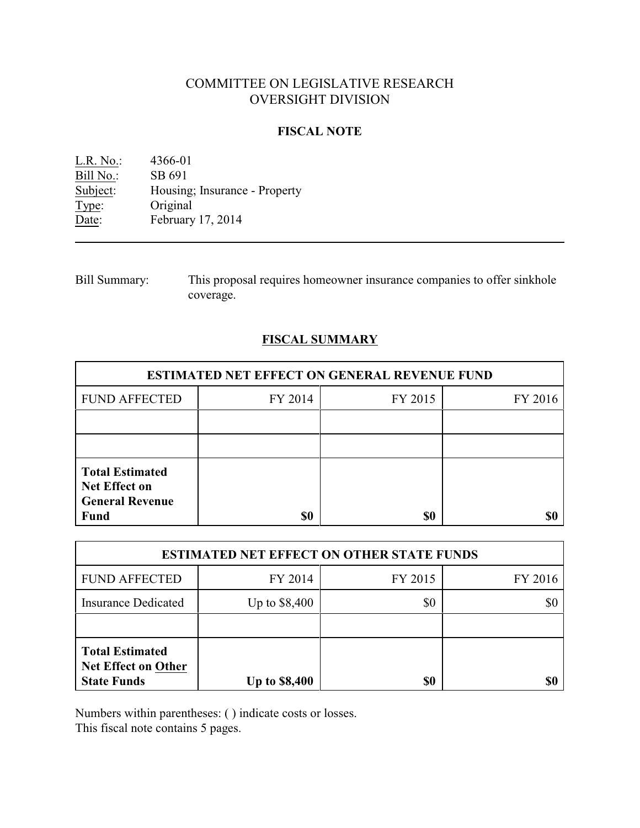# COMMITTEE ON LEGISLATIVE RESEARCH OVERSIGHT DIVISION

### **FISCAL NOTE**

L.R. No.: 4366-01 Bill No.: SB 691<br>Subject: Housing Housing; Insurance - Property Type: Original Date: February 17, 2014

Bill Summary: This proposal requires homeowner insurance companies to offer sinkhole coverage.

## **FISCAL SUMMARY**

| <b>ESTIMATED NET EFFECT ON GENERAL REVENUE FUND</b>                                     |         |         |         |  |
|-----------------------------------------------------------------------------------------|---------|---------|---------|--|
| <b>FUND AFFECTED</b>                                                                    | FY 2014 | FY 2015 | FY 2016 |  |
|                                                                                         |         |         |         |  |
|                                                                                         |         |         |         |  |
| <b>Total Estimated</b><br><b>Net Effect on</b><br><b>General Revenue</b><br><b>Fund</b> | \$0     | \$0     |         |  |

| <b>ESTIMATED NET EFFECT ON OTHER STATE FUNDS</b>                           |                      |         |         |  |
|----------------------------------------------------------------------------|----------------------|---------|---------|--|
| <b>FUND AFFECTED</b>                                                       | FY 2014              | FY 2015 | FY 2016 |  |
| <b>Insurance Dedicated</b>                                                 | Up to \$8,400        | \$0     | \$0     |  |
|                                                                            |                      |         |         |  |
| <b>Total Estimated</b><br><b>Net Effect on Other</b><br><b>State Funds</b> | <b>Up to \$8,400</b> | \$0     |         |  |

Numbers within parentheses: ( ) indicate costs or losses.

This fiscal note contains 5 pages.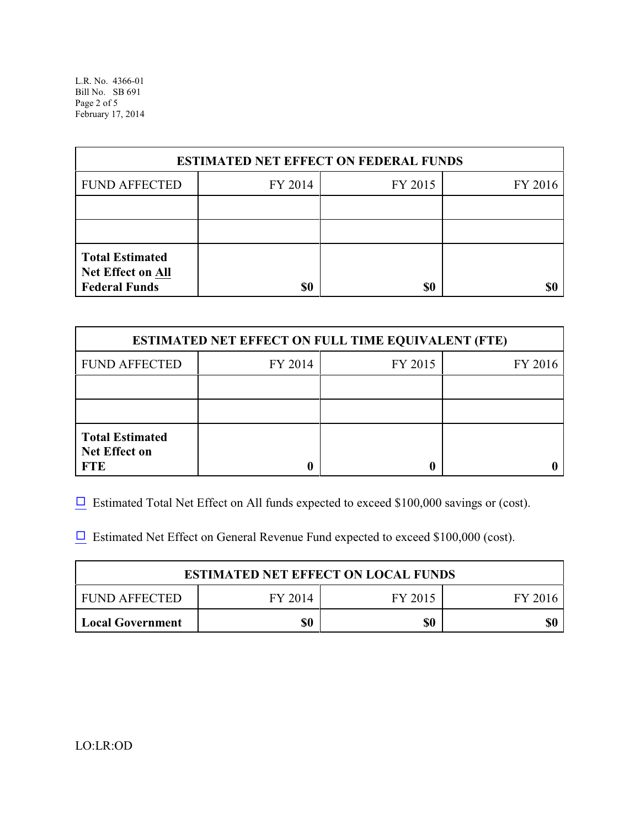L.R. No. 4366-01 Bill No. SB 691 Page 2 of 5 February 17, 2014

| <b>ESTIMATED NET EFFECT ON FEDERAL FUNDS</b>                        |         |         |         |  |
|---------------------------------------------------------------------|---------|---------|---------|--|
| <b>FUND AFFECTED</b>                                                | FY 2014 | FY 2015 | FY 2016 |  |
|                                                                     |         |         |         |  |
|                                                                     |         |         |         |  |
| <b>Total Estimated</b><br>Net Effect on All<br><b>Federal Funds</b> | \$0     | \$0     |         |  |

| <b>ESTIMATED NET EFFECT ON FULL TIME EQUIVALENT (FTE)</b>    |         |         |         |  |
|--------------------------------------------------------------|---------|---------|---------|--|
| <b>FUND AFFECTED</b>                                         | FY 2014 | FY 2015 | FY 2016 |  |
|                                                              |         |         |         |  |
|                                                              |         |         |         |  |
| <b>Total Estimated</b><br><b>Net Effect on</b><br><b>FTE</b> |         |         |         |  |

 $\Box$  Estimated Total Net Effect on All funds expected to exceed \$100,000 savings or (cost).

 $\Box$  Estimated Net Effect on General Revenue Fund expected to exceed \$100,000 (cost).

| <b>ESTIMATED NET EFFECT ON LOCAL FUNDS</b> |         |         |         |  |
|--------------------------------------------|---------|---------|---------|--|
| FUND AFFECTED                              | FY 2014 | FY 2015 | FY 2016 |  |
| <b>Local Government</b>                    | \$0     | \$0     |         |  |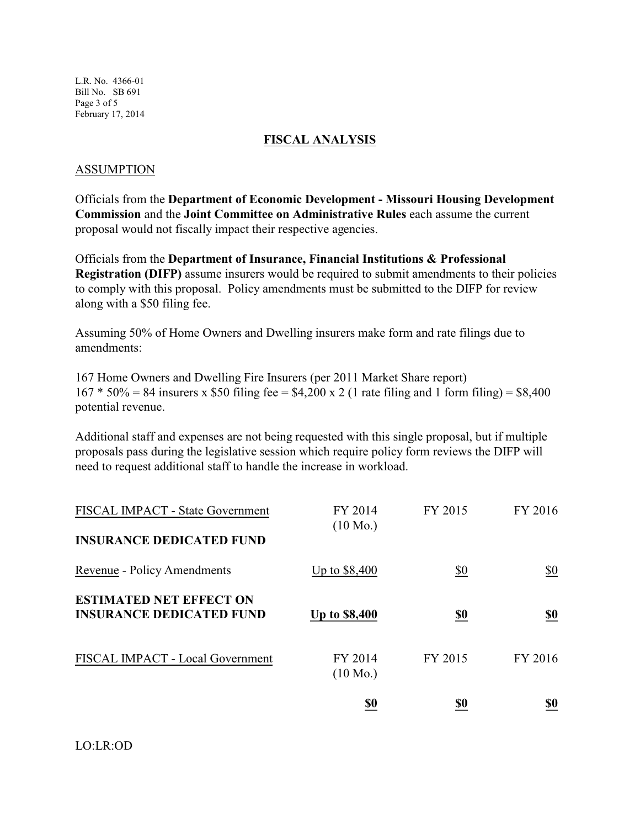L.R. No. 4366-01 Bill No. SB 691 Page 3 of 5 February 17, 2014

### **FISCAL ANALYSIS**

#### ASSUMPTION

Officials from the **Department of Economic Development - Missouri Housing Development Commission** and the **Joint Committee on Administrative Rules** each assume the current proposal would not fiscally impact their respective agencies.

Officials from the **Department of Insurance, Financial Institutions & Professional Registration (DIFP)** assume insurers would be required to submit amendments to their policies to comply with this proposal. Policy amendments must be submitted to the DIFP for review along with a \$50 filing fee.

Assuming 50% of Home Owners and Dwelling insurers make form and rate filings due to amendments:

167 Home Owners and Dwelling Fire Insurers (per 2011 Market Share report)  $167 * 50\% = 84$  insurers x \$50 filing fee = \$4,200 x 2 (1 rate filing and 1 form filing) = \$8,400 potential revenue.

Additional staff and expenses are not being requested with this single proposal, but if multiple proposals pass during the legislative session which require policy form reviews the DIFP will need to request additional staff to handle the increase in workload.

|                                                                     | <u>\$0</u>                    | <u>\$0</u> | <u>so</u>  |
|---------------------------------------------------------------------|-------------------------------|------------|------------|
| FISCAL IMPACT - Local Government                                    | FY 2014<br>$(10 \text{ Mo.})$ | FY 2015    | FY 2016    |
| <b>ESTIMATED NET EFFECT ON</b><br><b>INSURANCE DEDICATED FUND</b>   | <u>Up to \$8,400</u>          | <u>\$0</u> | <u>\$0</u> |
| Revenue - Policy Amendments                                         | Up to \$8,400                 | \$0        | \$0        |
| FISCAL IMPACT - State Government<br><b>INSURANCE DEDICATED FUND</b> | FY 2014<br>$(10 \text{ Mo.})$ | FY 2015    | FY 2016    |
|                                                                     |                               |            |            |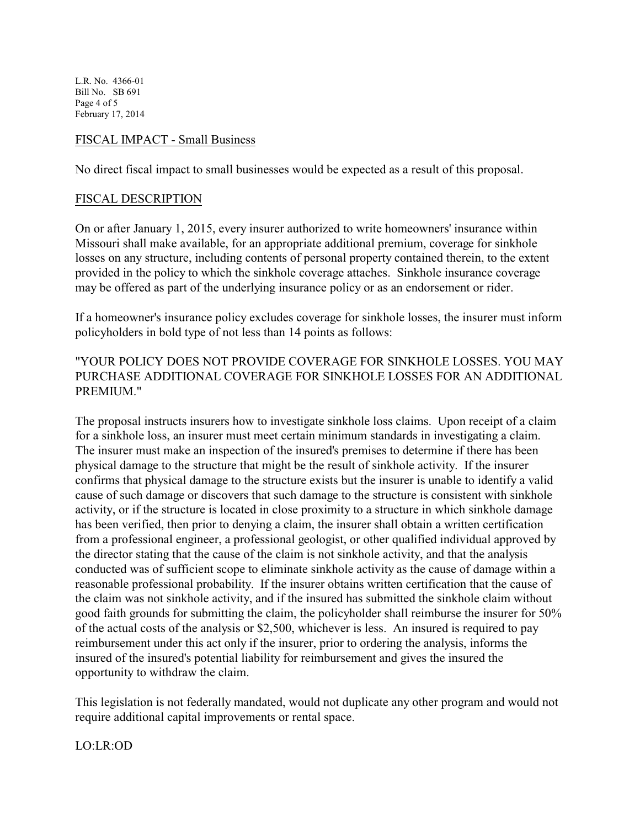L.R. No. 4366-01 Bill No. SB 691 Page 4 of 5 February 17, 2014

#### FISCAL IMPACT - Small Business

No direct fiscal impact to small businesses would be expected as a result of this proposal.

#### FISCAL DESCRIPTION

On or after January 1, 2015, every insurer authorized to write homeowners' insurance within Missouri shall make available, for an appropriate additional premium, coverage for sinkhole losses on any structure, including contents of personal property contained therein, to the extent provided in the policy to which the sinkhole coverage attaches. Sinkhole insurance coverage may be offered as part of the underlying insurance policy or as an endorsement or rider.

If a homeowner's insurance policy excludes coverage for sinkhole losses, the insurer must inform policyholders in bold type of not less than 14 points as follows:

## "YOUR POLICY DOES NOT PROVIDE COVERAGE FOR SINKHOLE LOSSES. YOU MAY PURCHASE ADDITIONAL COVERAGE FOR SINKHOLE LOSSES FOR AN ADDITIONAL PREMIUM."

The proposal instructs insurers how to investigate sinkhole loss claims. Upon receipt of a claim for a sinkhole loss, an insurer must meet certain minimum standards in investigating a claim. The insurer must make an inspection of the insured's premises to determine if there has been physical damage to the structure that might be the result of sinkhole activity. If the insurer confirms that physical damage to the structure exists but the insurer is unable to identify a valid cause of such damage or discovers that such damage to the structure is consistent with sinkhole activity, or if the structure is located in close proximity to a structure in which sinkhole damage has been verified, then prior to denying a claim, the insurer shall obtain a written certification from a professional engineer, a professional geologist, or other qualified individual approved by the director stating that the cause of the claim is not sinkhole activity, and that the analysis conducted was of sufficient scope to eliminate sinkhole activity as the cause of damage within a reasonable professional probability. If the insurer obtains written certification that the cause of the claim was not sinkhole activity, and if the insured has submitted the sinkhole claim without good faith grounds for submitting the claim, the policyholder shall reimburse the insurer for 50% of the actual costs of the analysis or \$2,500, whichever is less. An insured is required to pay reimbursement under this act only if the insurer, prior to ordering the analysis, informs the insured of the insured's potential liability for reimbursement and gives the insured the opportunity to withdraw the claim.

This legislation is not federally mandated, would not duplicate any other program and would not require additional capital improvements or rental space.

LO:LR:OD